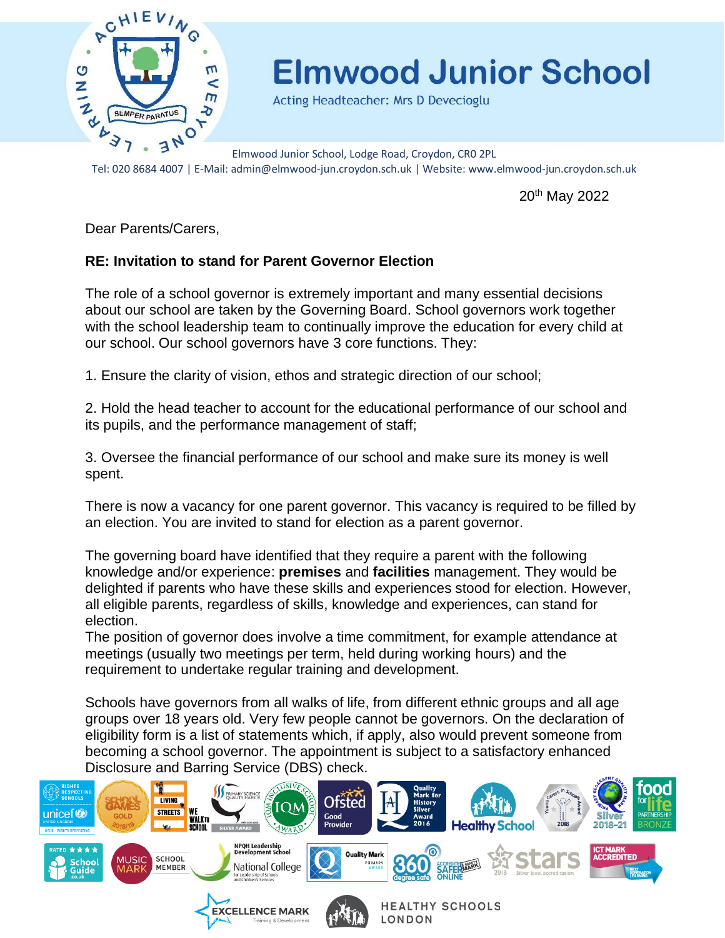

Acting Headteacher: Mrs D Devecioglu

Elmwood Junior School, Lodge Road, Croydon, CR0 2PL Tel: 020 8684 4007 | E-Mail: admin@elmwood-jun.croydon.sch.uk | Website: www.elmwood-jun.croydon.sch.uk

20th May 2022

Dear Parents/Carers,

#### **RE: Invitation to stand for Parent Governor Election**

The role of a school governor is extremely important and many essential decisions about our school are taken by the Governing Board. School governors work together with the school leadership team to continually improve the education for every child at our school. Our school governors have 3 core functions. They:

1. Ensure the clarity of vision, ethos and strategic direction of our school;

2. Hold the head teacher to account for the educational performance of our school and its pupils, and the performance management of staff;

3. Oversee the financial performance of our school and make sure its money is well spent.

There is now a vacancy for one parent governor. This vacancy is required to be filled by an election. You are invited to stand for election as a parent governor.

The governing board have identified that they require a parent with the following knowledge and/or experience: **premises** and **facilities** management. They would be delighted if parents who have these skills and experiences stood for election. However, all eligible parents, regardless of skills, knowledge and experiences, can stand for election.

The position of governor does involve a time commitment, for example attendance at meetings (usually two meetings per term, held during working hours) and the requirement to undertake regular training and development.

Schools have governors from all walks of life, from different ethnic groups and all age groups over 18 years old. Very few people cannot be governors. On the declaration of eligibility form is a list of statements which, if apply, also would prevent someone from becoming a school governor. The appointment is subject to a satisfactory enhanced Disclosure and Barring Service (DBS) check.

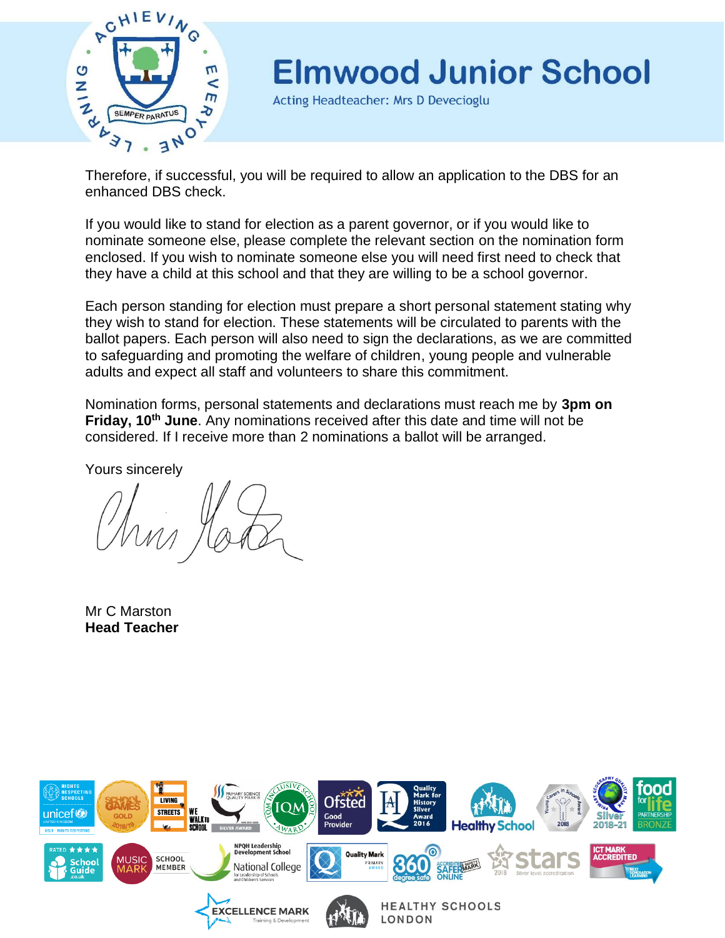

Acting Headteacher: Mrs D Devecioglu

Therefore, if successful, you will be required to allow an application to the DBS for an enhanced DBS check.

If you would like to stand for election as a parent governor, or if you would like to nominate someone else, please complete the relevant section on the nomination form enclosed. If you wish to nominate someone else you will need first need to check that they have a child at this school and that they are willing to be a school governor.

Each person standing for election must prepare a short personal statement stating why they wish to stand for election. These statements will be circulated to parents with the ballot papers. Each person will also need to sign the declarations, as we are committed to safeguarding and promoting the welfare of children, young people and vulnerable adults and expect all staff and volunteers to share this commitment.

Nomination forms, personal statements and declarations must reach me by **3pm on Friday, 10th June**. Any nominations received after this date and time will not be considered. If I receive more than 2 nominations a ballot will be arranged.

Yours sincerely

Mr C Marston **Head Teacher** 

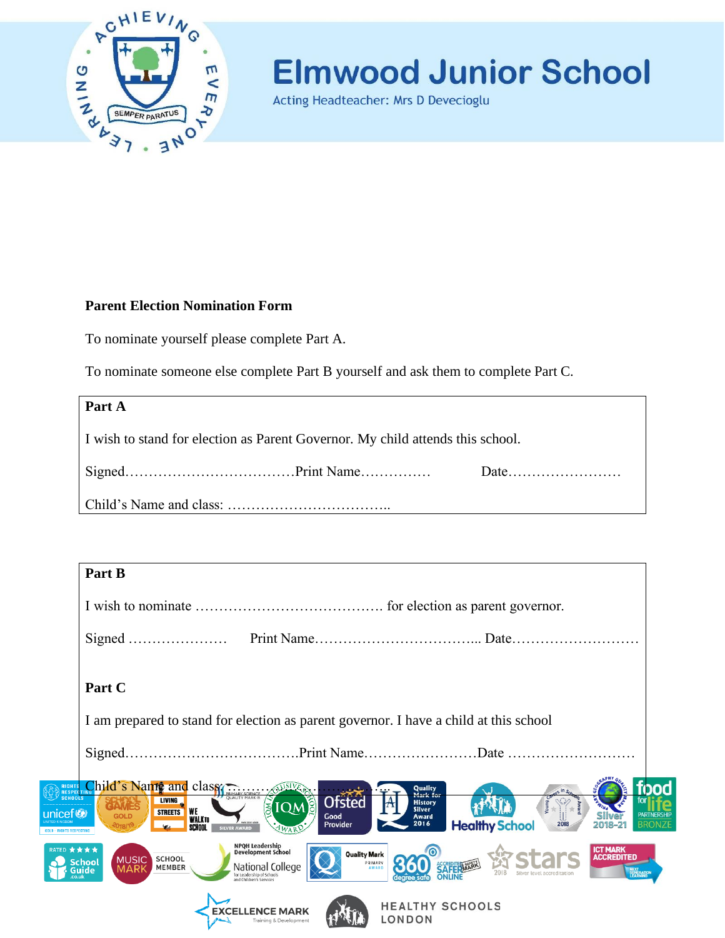

Acting Headteacher: Mrs D Devecioglu

#### **Parent Election Nomination Form**

To nominate yourself please complete Part A.

To nominate someone else complete Part B yourself and ask them to complete Part C.

| Part A                                                                         |  |  |  |  |
|--------------------------------------------------------------------------------|--|--|--|--|
| I wish to stand for election as Parent Governor. My child attends this school. |  |  |  |  |
|                                                                                |  |  |  |  |
|                                                                                |  |  |  |  |

|                     | Part B                                                                                                                                                                                                                               |                                                                         |                               |                                                                        |  |
|---------------------|--------------------------------------------------------------------------------------------------------------------------------------------------------------------------------------------------------------------------------------|-------------------------------------------------------------------------|-------------------------------|------------------------------------------------------------------------|--|
|                     |                                                                                                                                                                                                                                      |                                                                         |                               |                                                                        |  |
|                     |                                                                                                                                                                                                                                      |                                                                         |                               |                                                                        |  |
|                     | Part C                                                                                                                                                                                                                               |                                                                         |                               |                                                                        |  |
|                     | I am prepared to stand for election as parent governor. I have a child at this school                                                                                                                                                |                                                                         |                               |                                                                        |  |
|                     |                                                                                                                                                                                                                                      |                                                                         |                               |                                                                        |  |
| unicef <sup>o</sup> | RIGHTS DIE S Name and class<br><b>SCHOOLS</b><br><b>Ofsted</b><br>LIVING<br><b>IQME</b><br><b>WE</b><br><b>STREETS</b><br>Good<br><b>GOLD</b><br><b>WALKTO</b><br><b>Made 1977 Street</b><br>Provider<br><b>SILVER AWARD</b><br>4WAP | Quality<br>Mark for<br><b>History</b><br><b>Silver</b><br>Award<br>2016 | <b>Healthy School</b><br>2018 | boc<br>≃<br><b>PARTNERSHIP</b><br>2018-21                              |  |
|                     | NPQH Leadership<br>Development School<br>RATED ★★★★<br><b>SCHOOL</b><br><b>MUSIC</b><br><b>School</b><br>National College<br>MEMBER<br><b>MARK</b><br>Guide<br>for Leadership of Schools<br>and Children's Services                  | <b>Quality Mark</b><br>PRIMARY<br><b>AWARD</b>                          |                               | <b>ICT MARK</b><br><b>ACCREDITED</b><br>NEXT<br>GENERATION<br>LEARNING |  |
|                     | <b>EXCELLENCE MARK</b><br>Training & Development                                                                                                                                                                                     | <b>HEALTHY SCHOOLS</b><br>LONDON                                        |                               |                                                                        |  |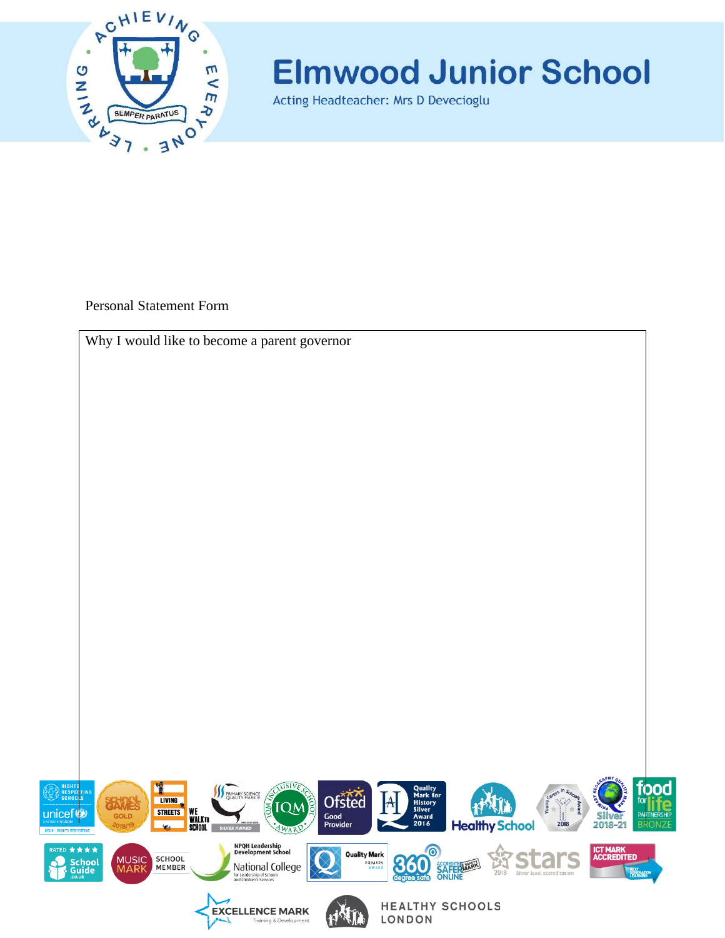

Acting Headteacher: Mrs D Devecioglu

Personal Statement Form

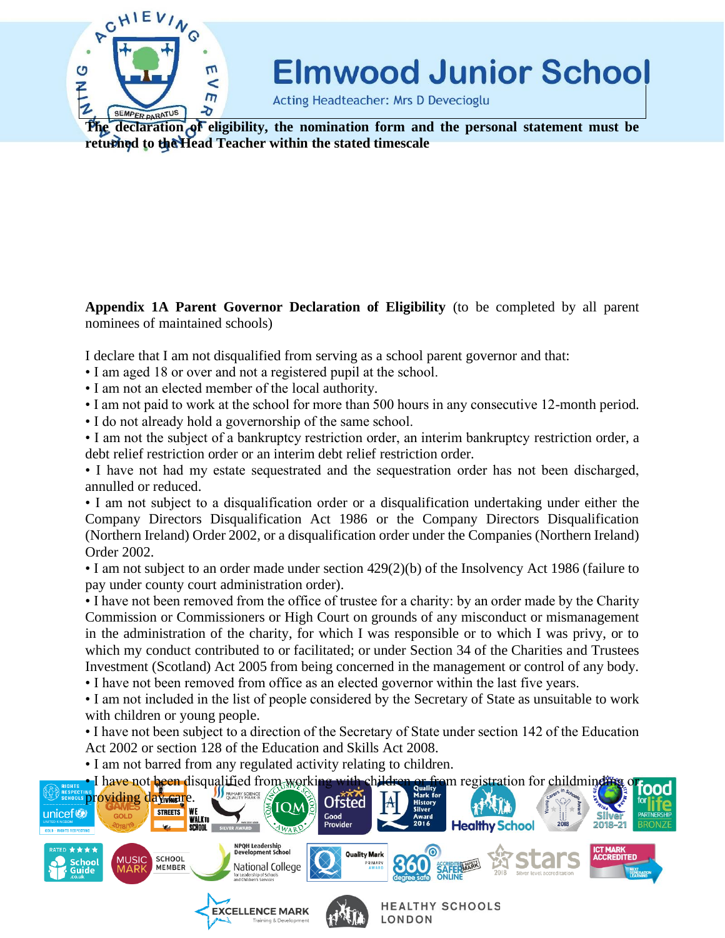

Acting Headteacher: Mrs D Devecioglu

**The declaration of eligibility, the nomination form and the personal statement must be returned to the Head Teacher within the stated timescale**

**Appendix 1A Parent Governor Declaration of Eligibility** (to be completed by all parent nominees of maintained schools)

I declare that I am not disqualified from serving as a school parent governor and that:

- I am aged 18 or over and not a registered pupil at the school.
- I am not an elected member of the local authority.
- I am not paid to work at the school for more than 500 hours in any consecutive 12-month period.
- I do not already hold a governorship of the same school.

• I am not the subject of a bankruptcy restriction order, an interim bankruptcy restriction order, a debt relief restriction order or an interim debt relief restriction order.

• I have not had my estate sequestrated and the sequestration order has not been discharged, annulled or reduced.

• I am not subject to a disqualification order or a disqualification undertaking under either the Company Directors Disqualification Act 1986 or the Company Directors Disqualification (Northern Ireland) Order 2002, or a disqualification order under the Companies (Northern Ireland) Order 2002.

• I am not subject to an order made under section 429(2)(b) of the Insolvency Act 1986 (failure to pay under county court administration order).

• I have not been removed from the office of trustee for a charity: by an order made by the Charity Commission or Commissioners or High Court on grounds of any misconduct or mismanagement in the administration of the charity, for which I was responsible or to which I was privy, or to which my conduct contributed to or facilitated; or under Section 34 of the Charities and Trustees Investment (Scotland) Act 2005 from being concerned in the management or control of any body.

• I have not been removed from office as an elected governor within the last five years.

• I am not included in the list of people considered by the Secretary of State as unsuitable to work with children or young people.

• I have not been subject to a direction of the Secretary of State under section 142 of the Education Act 2002 or section 128 of the Education and Skills Act 2008.

• I am not barred from any regulated activity relating to children.